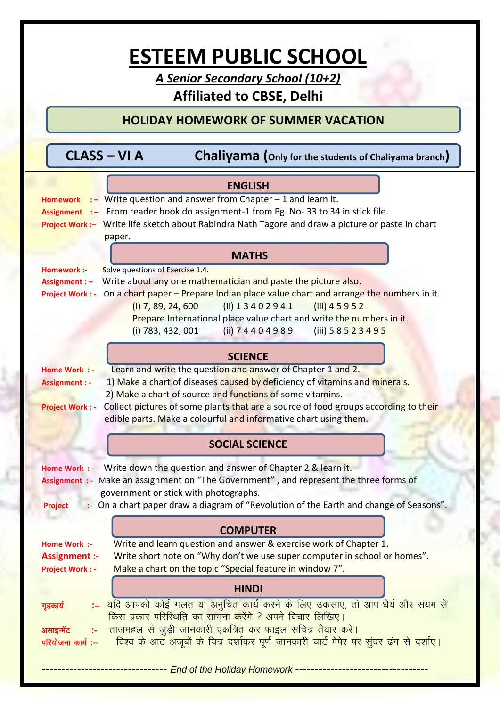## **ESTEEM PUBLIC SCHOOL**

*A Senior Secondary School (10+2)* **Affiliated to CBSE, Delhi**

## **HOLIDAY HOMEWORK OF SUMMER VACATION**

| CLASS - VI A |  | <b>Chaliyama</b> (Only for the students of Chaliyama branch) |
|--------------|--|--------------------------------------------------------------|
|--------------|--|--------------------------------------------------------------|

| <b>ENGLISH</b>                                                                                                |  |  |
|---------------------------------------------------------------------------------------------------------------|--|--|
| $\cdot$ - Write question and answer from Chapter - 1 and learn it.<br><b>Homework</b>                         |  |  |
| Assignment :- From reader book do assignment-1 from Pg. No-33 to 34 in stick file.                            |  |  |
| Project Work :- Write life sketch about Rabindra Nath Tagore and draw a picture or paste in chart             |  |  |
| paper.                                                                                                        |  |  |
|                                                                                                               |  |  |
| <b>MATHS</b>                                                                                                  |  |  |
| Solve questions of Exercise 1.4.<br>Homework :-                                                               |  |  |
| Write about any one mathematician and paste the picture also.<br>Assignment : -                               |  |  |
| on a chart paper – Prepare Indian place value chart and arrange the numbers in it.<br><b>Project Work: -</b>  |  |  |
| (ii) 1 3 4 0 2 9 4 1<br>$(iii)$ 4 5 9 5 2<br>$(i)$ 7, 89, 24, 600                                             |  |  |
| Prepare International place value chart and write the numbers in it.                                          |  |  |
| (ii) 74404989<br>(iii) 58523495<br>$(i)$ 783, 432, 001                                                        |  |  |
|                                                                                                               |  |  |
| <b>SCIENCE</b>                                                                                                |  |  |
| Learn and write the question and answer of Chapter 1 and 2.<br>Home Work : -                                  |  |  |
| 1) Make a chart of diseases caused by deficiency of vitamins and minerals.<br><b>Assignment: -</b>            |  |  |
| 2) Make a chart of source and functions of some vitamins.                                                     |  |  |
| Collect pictures of some plants that are a source of food groups according to their<br><b>Project Work: -</b> |  |  |
| edible parts. Make a colourful and informative chart using them.                                              |  |  |
| <b>SOCIAL SCIENCE</b>                                                                                         |  |  |
| Home Work : - Write down the question and answer of Chapter 2 & learn it.                                     |  |  |
| Assignment : - Make an assignment on "The Government", and represent the three forms of                       |  |  |
| government or stick with photographs.                                                                         |  |  |
| :- On a chart paper draw a diagram of "Revolution of the Earth and change of Seasons".<br><b>Project</b>      |  |  |
|                                                                                                               |  |  |
| <b>COMPUTER</b>                                                                                               |  |  |
| Write and learn question and answer & exercise work of Chapter 1.<br>Home Work :-                             |  |  |
| Write short note on "Why don't we use super computer in school or homes".<br><b>Assignment :-</b>             |  |  |
| Make a chart on the topic "Special feature in window 7".<br><b>Project Work: -</b>                            |  |  |
| <b>HINDI</b>                                                                                                  |  |  |
|                                                                                                               |  |  |
| ्यदि आपको कोई गलत या अनुचित कार्य करने के लिए उकसाए, तो आप धैर्य और संयम से<br>गृहकार्य                       |  |  |
| <u>किस प्रकार परिस्थिति का सामना करेंगे ? अपने विचार लिखिए।</u>                                               |  |  |
| ताजमहल से जुड़ी जानकारी एकत्रित कर फाइल सचित्र तैयार करें।<br>असाइन्मेंट<br>te.                               |  |  |
| विश्व के आठ अजूबों के चित्र दर्शाकर पूर्ण जानकारी चार्ट पेपेर पर सुंदर ढंग से दर्शाए।<br>परियोजना कार्य :–    |  |  |
| End of the Holiday Homework ---------------                                                                   |  |  |